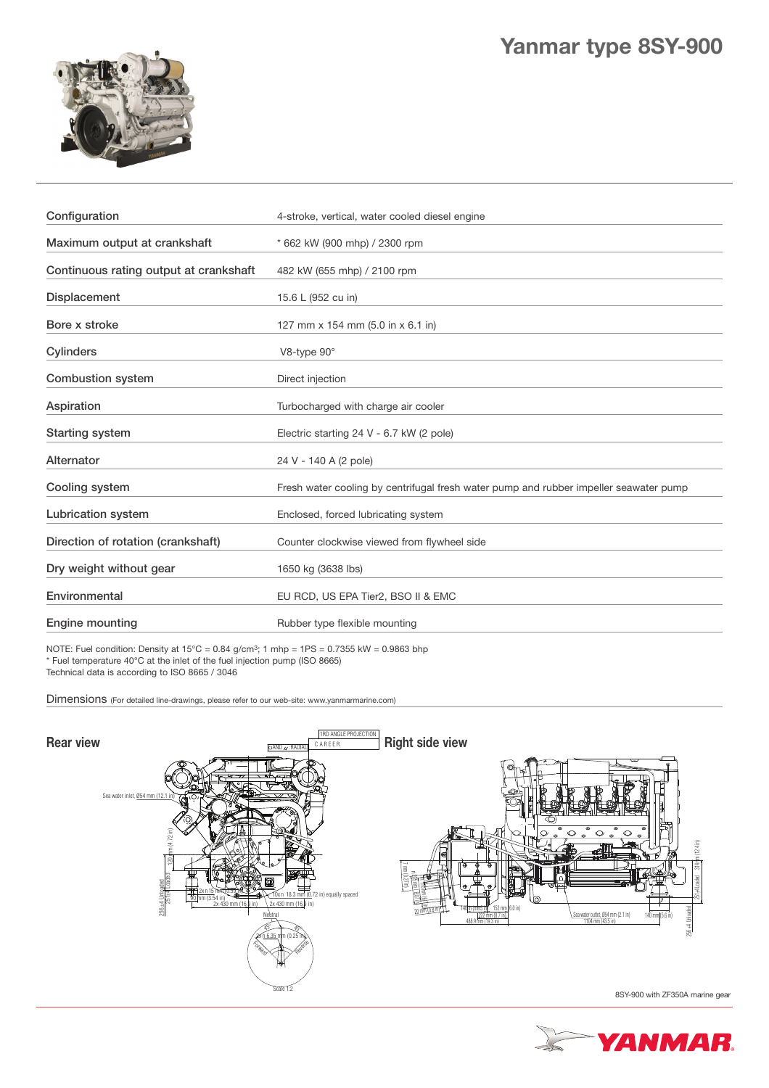

| Configuration                          | 4-stroke, vertical, water cooled diesel engine                                        |  |
|----------------------------------------|---------------------------------------------------------------------------------------|--|
| Maximum output at crankshaft           | * 662 kW (900 mhp) / 2300 rpm                                                         |  |
| Continuous rating output at crankshaft | 482 kW (655 mhp) / 2100 rpm                                                           |  |
| Displacement                           | 15.6 L (952 cu in)                                                                    |  |
| Bore x stroke                          | 127 mm x 154 mm (5.0 in x 6.1 in)                                                     |  |
| <b>Cylinders</b>                       | V8-type 90°                                                                           |  |
| <b>Combustion system</b>               | Direct injection                                                                      |  |
| Aspiration                             | Turbocharged with charge air cooler                                                   |  |
| <b>Starting system</b>                 | Electric starting 24 V - 6.7 kW (2 pole)                                              |  |
| Alternator                             | 24 V - 140 A (2 pole)                                                                 |  |
| Cooling system                         | Fresh water cooling by centrifugal fresh water pump and rubber impeller seawater pump |  |
| <b>Lubrication system</b>              | Enclosed, forced lubricating system                                                   |  |
| Direction of rotation (crankshaft)     | Counter clockwise viewed from flywheel side                                           |  |
| Dry weight without gear                | 1650 kg (3638 lbs)                                                                    |  |
| Environmental                          | EU RCD, US EPA Tier2, BSO II & EMC                                                    |  |
| <b>Engine mounting</b>                 | Rubber type flexible mounting                                                         |  |

NOTE: Fuel condition: Density at  $15^{\circ}$ C = 0.84 g/cm<sup>3</sup>; 1 mhp =  $1PS = 0.7355$  kW = 0.9863 bhp \* Fuel temperature 40°C at the inlet of the fuel injection pump (ISO 8665) Technical data is according to ISO 8665 / 3046

Dimensions (For detailed line-drawings, please refer to our web-site: www.yanmarmarine.com)